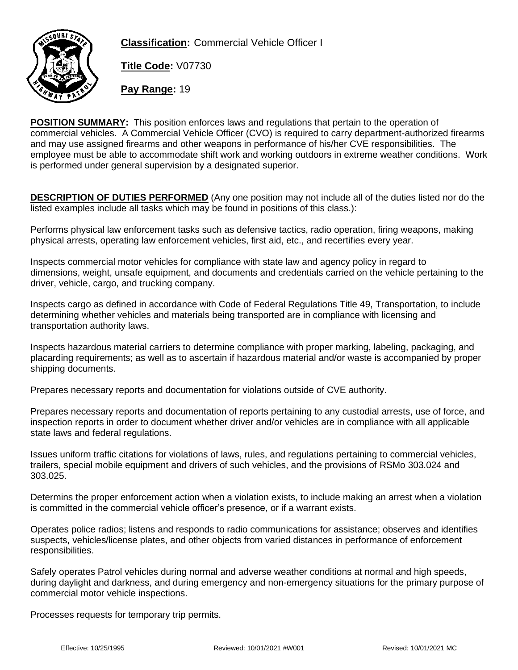

**Classification:** Commercial Vehicle Officer I

**Title Code:** V07730

**Pay Range:** 19

**POSITION SUMMARY:** This position enforces laws and regulations that pertain to the operation of commercial vehicles. A Commercial Vehicle Officer (CVO) is required to carry department-authorized firearms and may use assigned firearms and other weapons in performance of his/her CVE responsibilities. The employee must be able to accommodate shift work and working outdoors in extreme weather conditions. Work is performed under general supervision by a designated superior.

**DESCRIPTION OF DUTIES PERFORMED** (Any one position may not include all of the duties listed nor do the listed examples include all tasks which may be found in positions of this class.):

Performs physical law enforcement tasks such as defensive tactics, radio operation, firing weapons, making physical arrests, operating law enforcement vehicles, first aid, etc., and recertifies every year.

Inspects commercial motor vehicles for compliance with state law and agency policy in regard to dimensions, weight, unsafe equipment, and documents and credentials carried on the vehicle pertaining to the driver, vehicle, cargo, and trucking company.

Inspects cargo as defined in accordance with Code of Federal Regulations Title 49, Transportation, to include determining whether vehicles and materials being transported are in compliance with licensing and transportation authority laws.

Inspects hazardous material carriers to determine compliance with proper marking, labeling, packaging, and placarding requirements; as well as to ascertain if hazardous material and/or waste is accompanied by proper shipping documents.

Prepares necessary reports and documentation for violations outside of CVE authority.

Prepares necessary reports and documentation of reports pertaining to any custodial arrests, use of force, and inspection reports in order to document whether driver and/or vehicles are in compliance with all applicable state laws and federal regulations.

Issues uniform traffic citations for violations of laws, rules, and regulations pertaining to commercial vehicles, trailers, special mobile equipment and drivers of such vehicles, and the provisions of RSMo 303.024 and 303.025.

Determins the proper enforcement action when a violation exists, to include making an arrest when a violation is committed in the commercial vehicle officer's presence, or if a warrant exists.

Operates police radios; listens and responds to radio communications for assistance; observes and identifies suspects, vehicles/license plates, and other objects from varied distances in performance of enforcement responsibilities.

Safely operates Patrol vehicles during normal and adverse weather conditions at normal and high speeds, during daylight and darkness, and during emergency and non-emergency situations for the primary purpose of commercial motor vehicle inspections.

Processes requests for temporary trip permits.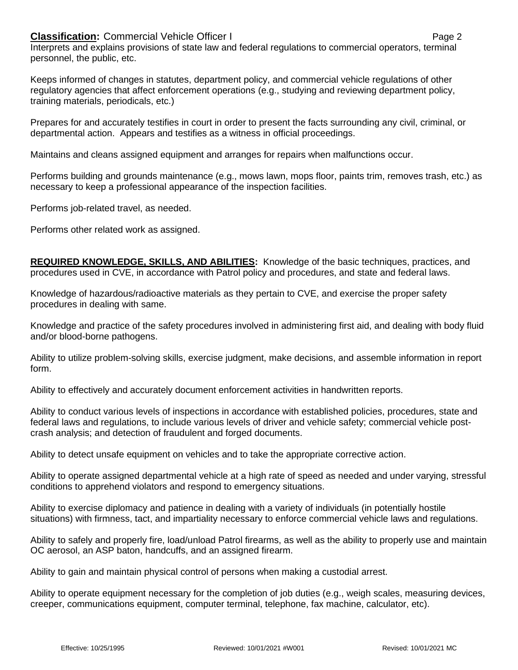## **Classification:** Commercial Vehicle Officer I **Classification: Page 2**

Interprets and explains provisions of state law and federal regulations to commercial operators, terminal personnel, the public, etc.

Keeps informed of changes in statutes, department policy, and commercial vehicle regulations of other regulatory agencies that affect enforcement operations (e.g., studying and reviewing department policy, training materials, periodicals, etc.)

Prepares for and accurately testifies in court in order to present the facts surrounding any civil, criminal, or departmental action. Appears and testifies as a witness in official proceedings.

Maintains and cleans assigned equipment and arranges for repairs when malfunctions occur.

Performs building and grounds maintenance (e.g., mows lawn, mops floor, paints trim, removes trash, etc.) as necessary to keep a professional appearance of the inspection facilities.

Performs job-related travel, as needed.

Performs other related work as assigned.

**REQUIRED KNOWLEDGE, SKILLS, AND ABILITIES:** Knowledge of the basic techniques, practices, and procedures used in CVE, in accordance with Patrol policy and procedures, and state and federal laws.

Knowledge of hazardous/radioactive materials as they pertain to CVE, and exercise the proper safety procedures in dealing with same.

Knowledge and practice of the safety procedures involved in administering first aid, and dealing with body fluid and/or blood-borne pathogens.

Ability to utilize problem-solving skills, exercise judgment, make decisions, and assemble information in report form.

Ability to effectively and accurately document enforcement activities in handwritten reports.

Ability to conduct various levels of inspections in accordance with established policies, procedures, state and federal laws and regulations, to include various levels of driver and vehicle safety; commercial vehicle postcrash analysis; and detection of fraudulent and forged documents.

Ability to detect unsafe equipment on vehicles and to take the appropriate corrective action.

Ability to operate assigned departmental vehicle at a high rate of speed as needed and under varying, stressful conditions to apprehend violators and respond to emergency situations.

Ability to exercise diplomacy and patience in dealing with a variety of individuals (in potentially hostile situations) with firmness, tact, and impartiality necessary to enforce commercial vehicle laws and regulations.

Ability to safely and properly fire, load/unload Patrol firearms, as well as the ability to properly use and maintain OC aerosol, an ASP baton, handcuffs, and an assigned firearm.

Ability to gain and maintain physical control of persons when making a custodial arrest.

Ability to operate equipment necessary for the completion of job duties (e.g., weigh scales, measuring devices, creeper, communications equipment, computer terminal, telephone, fax machine, calculator, etc).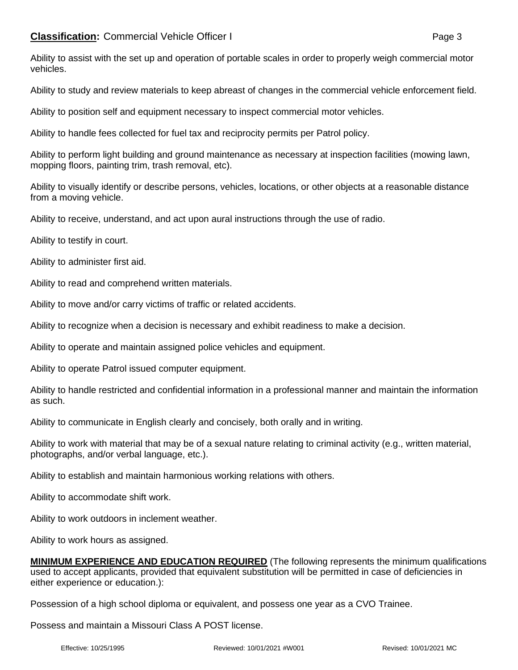Ability to assist with the set up and operation of portable scales in order to properly weigh commercial motor vehicles.

Ability to study and review materials to keep abreast of changes in the commercial vehicle enforcement field.

Ability to position self and equipment necessary to inspect commercial motor vehicles.

Ability to handle fees collected for fuel tax and reciprocity permits per Patrol policy.

Ability to perform light building and ground maintenance as necessary at inspection facilities (mowing lawn, mopping floors, painting trim, trash removal, etc).

Ability to visually identify or describe persons, vehicles, locations, or other objects at a reasonable distance from a moving vehicle.

Ability to receive, understand, and act upon aural instructions through the use of radio.

Ability to testify in court.

Ability to administer first aid.

Ability to read and comprehend written materials.

Ability to move and/or carry victims of traffic or related accidents.

Ability to recognize when a decision is necessary and exhibit readiness to make a decision.

Ability to operate and maintain assigned police vehicles and equipment.

Ability to operate Patrol issued computer equipment.

Ability to handle restricted and confidential information in a professional manner and maintain the information as such.

Ability to communicate in English clearly and concisely, both orally and in writing.

Ability to work with material that may be of a sexual nature relating to criminal activity (e.g., written material, photographs, and/or verbal language, etc.).

Ability to establish and maintain harmonious working relations with others.

Ability to accommodate shift work.

Ability to work outdoors in inclement weather.

Ability to work hours as assigned.

**MINIMUM EXPERIENCE AND EDUCATION REQUIRED** (The following represents the minimum qualifications used to accept applicants, provided that equivalent substitution will be permitted in case of deficiencies in either experience or education.):

Possession of a high school diploma or equivalent, and possess one year as a CVO Trainee.

Possess and maintain a Missouri Class A POST license.